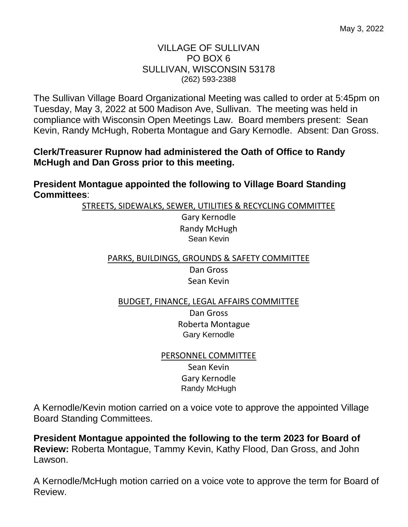### VILLAGE OF SULLIVAN PO BOX 6 SULLIVAN, WISCONSIN 53178 (262) 593-2388

The Sullivan Village Board Organizational Meeting was called to order at 5:45pm on Tuesday, May 3, 2022 at 500 Madison Ave, Sullivan. The meeting was held in compliance with Wisconsin Open Meetings Law. Board members present: Sean Kevin, Randy McHugh, Roberta Montague and Gary Kernodle. Absent: Dan Gross.

## **Clerk/Treasurer Rupnow had administered the Oath of Office to Randy McHugh and Dan Gross prior to this meeting.**

**President Montague appointed the following to Village Board Standing Committees**:

STREETS, SIDEWALKS, SEWER, UTILITIES & RECYCLING COMMITTEE

Gary Kernodle Randy McHugh Sean Kevin

PARKS, BUILDINGS, GROUNDS & SAFETY COMMITTEE Dan Gross Sean Kevin

#### BUDGET, FINANCE, LEGAL AFFAIRS COMMITTEE

Dan Gross Roberta Montague Gary Kernodle

PERSONNEL COMMITTEE Sean Kevin Gary Kernodle Randy McHugh

A Kernodle/Kevin motion carried on a voice vote to approve the appointed Village Board Standing Committees.

**President Montague appointed the following to the term 2023 for Board of Review:** Roberta Montague, Tammy Kevin, Kathy Flood, Dan Gross, and John Lawson.

A Kernodle/McHugh motion carried on a voice vote to approve the term for Board of Review.